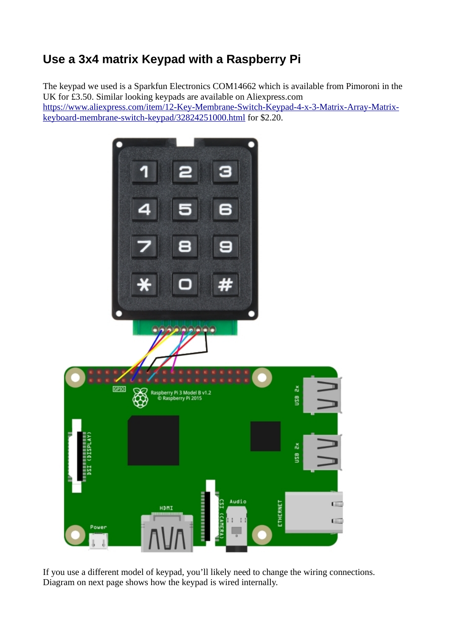## **Use a 3x4 matrix Keypad with a Raspberry Pi**

The keypad we used is a Sparkfun Electronics COM14662 which is available from Pimoroni in the UK for £3.50. Similar looking keypads are available on Aliexpress.com [https://www.aliexpress.com/item/12-Key-Membrane-Switch-Keypad-4-x-3-Matrix-Array-Matrix](https://www.aliexpress.com/item/12-Key-Membrane-Switch-Keypad-4-x-3-Matrix-Array-Matrix-keyboard-membrane-switch-keypad/32824251000.html)[keyboard-membrane-switch-keypad/32824251000.html](https://www.aliexpress.com/item/12-Key-Membrane-Switch-Keypad-4-x-3-Matrix-Array-Matrix-keyboard-membrane-switch-keypad/32824251000.html) for \$2.20.



If you use a different model of keypad, you'll likely need to change the wiring connections. Diagram on next page shows how the keypad is wired internally.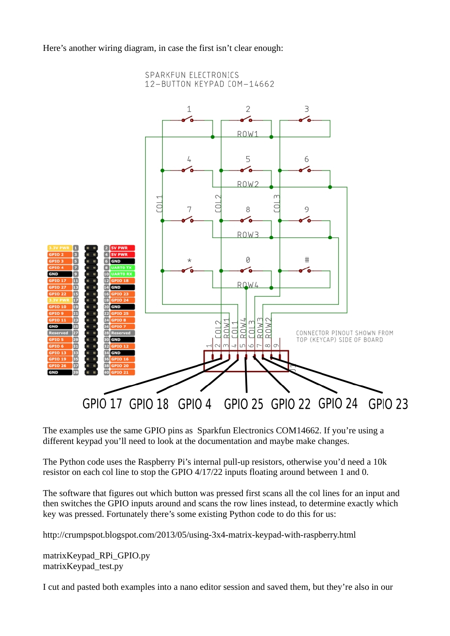Here's another wiring diagram, in case the first isn't clear enough:



The examples use the same GPIO pins as Sparkfun Electronics COM14662. If you're using a different keypad you'll need to look at the documentation and maybe make changes.

The Python code uses the Raspberry Pi's internal pull-up resistors, otherwise you'd need a 10k resistor on each col line to stop the GPIO 4/17/22 inputs floating around between 1 and 0.

The software that figures out which button was pressed first scans all the col lines for an input and then switches the GPIO inputs around and scans the row lines instead, to determine exactly which key was pressed. Fortunately there's some existing Python code to do this for us:

http://crumpspot.blogspot.com/2013/05/using-3x4-matrix-keypad-with-raspberry.html

matrixKeypad\_RPi\_GPIO.py matrixKeypad\_test.py

I cut and pasted both examples into a nano editor session and saved them, but they're also in our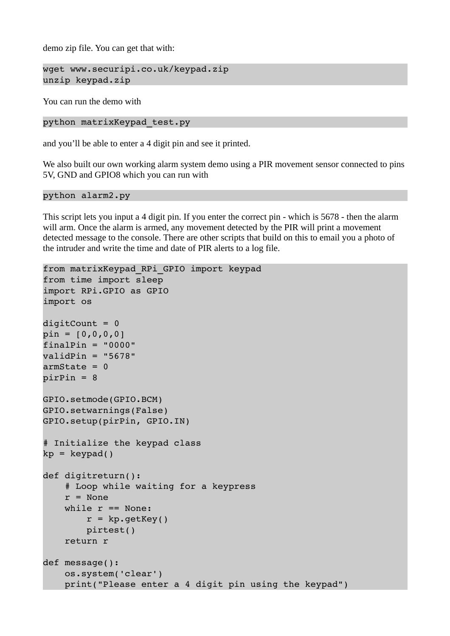demo zip file. You can get that with:

```
wget www.securipi.co.uk/keypad.zip
unzip keypad.zip
```
You can run the demo with

python matrixKeypad\_test.py

and you'll be able to enter a 4 digit pin and see it printed.

We also built our own working alarm system demo using a PIR movement sensor connected to pins 5V, GND and GPIO8 which you can run with

## python alarm2.py

This script lets you input a 4 digit pin. If you enter the correct pin - which is 5678 - then the alarm will arm. Once the alarm is armed, any movement detected by the PIR will print a movement detected message to the console. There are other scripts that build on this to email you a photo of the intruder and write the time and date of PIR alerts to a log file.

```
from matrixKeypad_RPi_GPIO import keypad
from time import sleep
import RPi.GPIO as GPIO
import os
digitCount = 0pin = [0, 0, 0, 0]finalPin = "0000"validPin = "5678"armState = 0pirPin = 8
GPIO.setmode(GPIO.BCM)
GPIO.setwarnings(False)
GPIO.setup(pirPin, GPIO.IN)
# Initialize the keypad class
kp = keypad()def digitreturn():
        # Loop while waiting for a keypress
    r = Nonewhile r == None:
        r = kp.getKey()        pirtest()
        return r
def message():
        os.system('clear')
        print("Please enter a 4 digit pin using the keypad")
```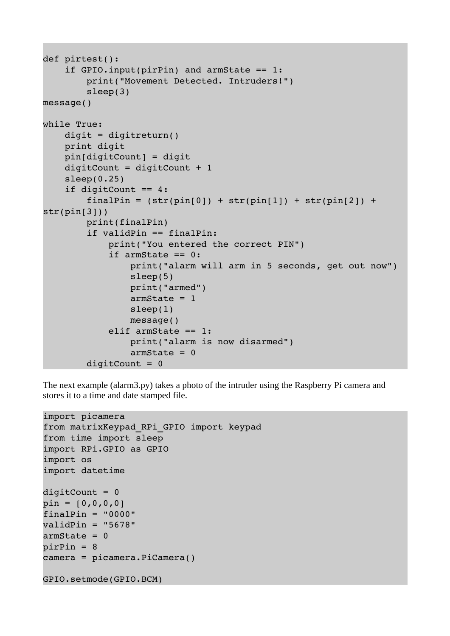```
def pirtest():
     if GPIO.input(pirPin) and armState == 1:        print("Movement Detected. Intruders!")
                   sleep(3)
message()
while True:
         digit = digitreturn()
         print digit
         pin[digitCount] = digit
     digitCount = digitCount + 1sleep(0.25)    if digitCount == 4:
           finalPin = (str(pin[0]) + str(pin[1]) + str(pin[2]) +str(pin[3]))
                  print(finalPin)
                   if validPin == finalPin:
                            print("You entered the correct PIN")
                            if armState == 0:
                                      print("alarm will arm in 5 seconds, get out now")
                                      sleep(5)
                                     print("armed")
                                      armState = 1
                                      sleep(1)
                                     message()
                            elif armState == 1:
                                     print("alarm is now disarmed")
                      armState = 0digitCount = 0
```
The next example (alarm3.py) takes a photo of the intruder using the Raspberry Pi camera and stores it to a time and date stamped file.

```
import picamera
from matrixKeypad_RPi_GPIO import keypad
from time import sleep
import RPi.GPIO as GPIO
import os
import datetime
digitCount = 0pin = [0, 0, 0, 0]finalPin = "0000"validPin = "5678"armState = 0pirPin = 8
camera = picamera.PiCamera()
GPIO.setmode(GPIO.BCM)
```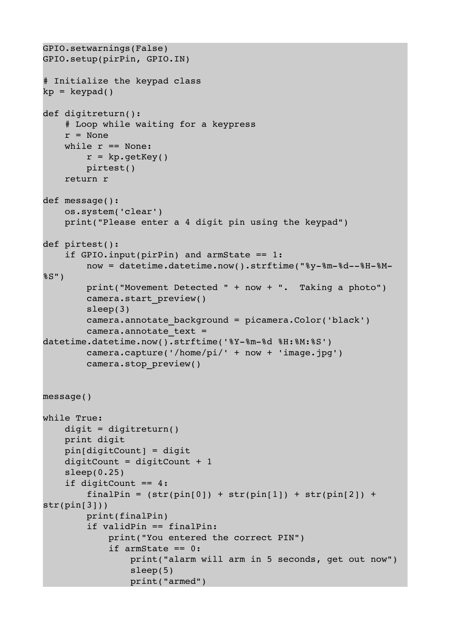```
GPIO.setwarnings(False)
GPIO.setup(pirPin, GPIO.IN)
# Initialize the keypad class
kp = keypad()def digitreturn():
        # Loop while waiting for a keypress
    r = Nonewhile r == None:
         r = kp.getKey()        pirtest()
        return r
def message():
        os.system('clear')
        print("Please enter a 4 digit pin using the keypad")
def pirtest():
    if GPIO.input(pirPin) and armState == 1:now = datetime.datetime.now().strftime("%y-%m-%d--%H-%M-
%S")
                 print("Movement Detected " + now + ".  Taking a photo")
                 camera.start_preview()
                 sleep(3)
                 camera.annotate_background = picamera.Color('black')
         camera.annotate text =
datetime.datetime.now().strftime('%Y-%m-%d %H:%M:%S')
                 camera.capture('/home/pi/' + now + 'image.jpg')
                 camera.stop_preview()
message()
while True:
        digit = digitreturn()
        print digit
        pin[digitCount] = digit
        digitCount = digitCount + 1
    sleep(0.25)    if digitCount == 4:
         finalPin = (str(pin[0]) + str(pin[1]) + str(pin[2]) +str(pin[3]))
                 print(finalPin)
                 if validPin == finalPin:
                          print("You entered the correct PIN")
                          if armState == 0:
                                   print("alarm will arm in 5 seconds, get out now")
                                   sleep(5)
                                   print("armed")
```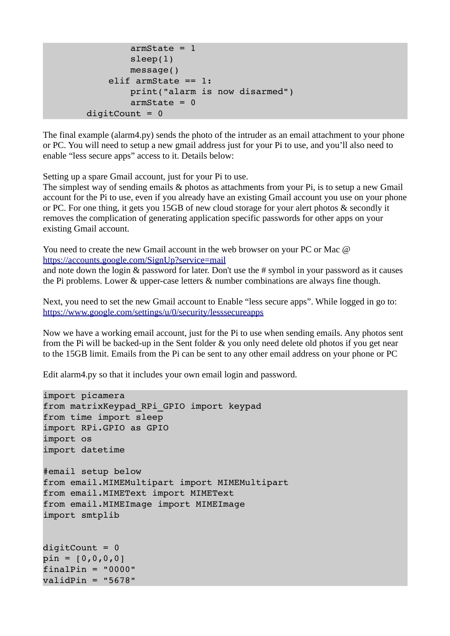```
armState = 1                sleep(1)
                            message()
                  elif armState == 1:
                            print("alarm is now disarmed")
            armState = 0diqtCount = 0
```
The final example (alarm4.py) sends the photo of the intruder as an email attachment to your phone or PC. You will need to setup a new gmail address just for your Pi to use, and you'll also need to enable "less secure apps" access to it. Details below:

Setting up a spare Gmail account, just for your Pi to use.

The simplest way of sending emails & photos as attachments from your Pi, is to setup a new Gmail account for the Pi to use, even if you already have an existing Gmail account you use on your phone or PC. For one thing, it gets you 15GB of new cloud storage for your alert photos & secondly it removes the complication of generating application specific passwords for other apps on your existing Gmail account.

You need to create the new Gmail account in the web browser on your PC or Mac  $\omega$ <https://accounts.google.com/SignUp?service=mail>

and note down the login & password for later. Don't use the # symbol in your password as it causes the Pi problems. Lower & upper-case letters & number combinations are always fine though.

Next, you need to set the new Gmail account to Enable "less secure apps". While logged in go to: <https://www.google.com/settings/u/0/security/lesssecureapps>

Now we have a working email account, just for the Pi to use when sending emails. Any photos sent from the Pi will be backed-up in the Sent folder & you only need delete old photos if you get near to the 15GB limit. Emails from the Pi can be sent to any other email address on your phone or PC

Edit alarm4.py so that it includes your own email login and password.

```
import picamera
from matrixKeypad_RPi_GPIO import keypad
from time import sleep
import RPi.GPIO as GPIO
import os
import datetime
#email setup below
from email.MIMEMultipart import MIMEMultipart
from email.MIMEText import MIMEText
from email.MIMEImage import MIMEImage
import smtplib
digitCount = 0pin = [0, 0, 0, 0]finalPin = "0000"validPin = "5678"
```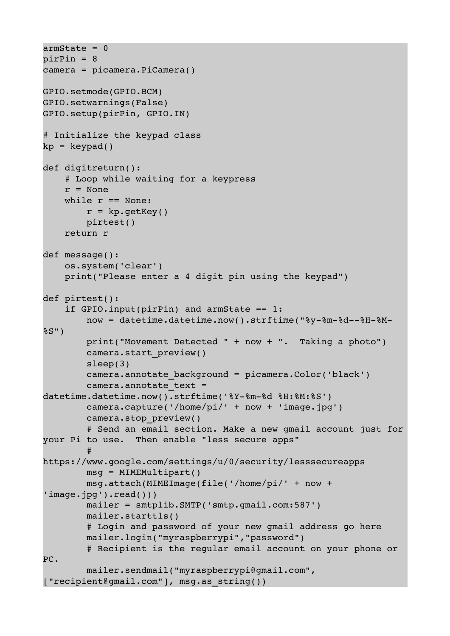```
armState = 0pirPin = 8
camera = picamera.PiCamera()
GPIO.setmode(GPIO.BCM)
GPIO.setwarnings(False)
GPIO.setup(pirPin, GPIO.IN)
# Initialize the keypad class
kp = keypad()def digitreturn():
        # Loop while waiting for a keypress
    r = Nonewhile r == None:
        r = kp.getKey()        pirtest()
        return r
def message():
        os.system('clear')
        print("Please enter a 4 digit pin using the keypad")
def pirtest():
    if GPIO.input(pirPin) and armState == 1:now = datetime.datetime.now().strftime("%y-%m-%d--%H-%M-
%S")
                print("Movement Detected " + now + ".  Taking a photo")
                camera.start_preview()
                sleep(3)
                camera.annotate_background = picamera.Color('black')
        camera.annotate text =
datetime.datetime.now().strftime('%Y-%m-%d %H:%M:%S')
                camera.capture('/home/pi/' + now + 'image.jpg')
                camera.stop_preview()
                 # Send an email section. Make a new gmail account just for
your Pi to use.  Then enable "less secure apps"
        # 
https://www.google.com/settings/u/0/security/lesssecureapps
                msg = MIMEMultipart()
                msg.attach(MIMEImage(file('/home/pi/' + now + 
'image.jpg').read()))
                mailer = smtplib.SMTP('smtp.gmail.com:587')
                mailer.starttls()
                 # Login and password of your new gmail address go here
                mailer.login("myraspberrypi","password")
                 # Recipient is the regular email account on your phone or 
PC.
                mailer.sendmail("myraspberrypi@gmail.com", 
["recipient@gmail.com"], msg.as_string())
```